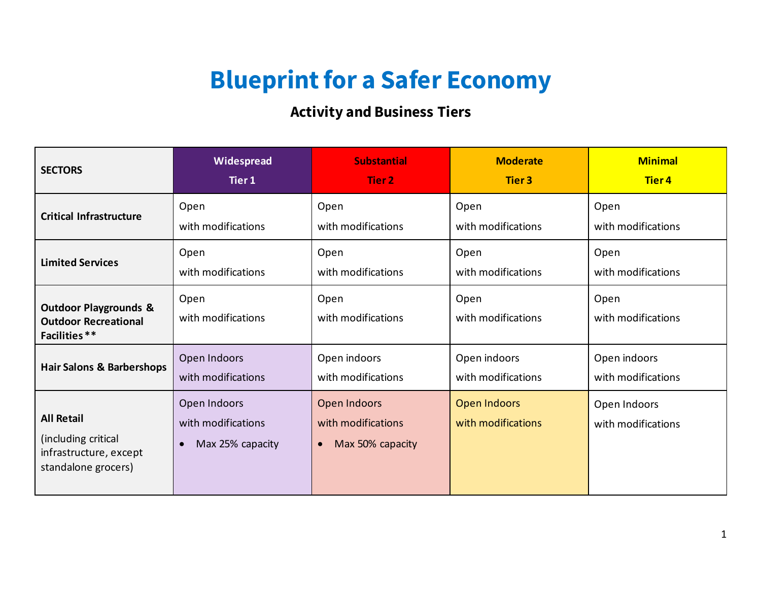## **Blueprint for a Safer Economy**

## **Activity and Business Tiers**

| <b>SECTORS</b>                                                                            | Widespread                                                          | <b>Substantial</b>                                                  | <b>Moderate</b>                           | <b>Minimal</b>                     |
|-------------------------------------------------------------------------------------------|---------------------------------------------------------------------|---------------------------------------------------------------------|-------------------------------------------|------------------------------------|
|                                                                                           | Tier 1                                                              | Tier 2                                                              | <b>Tier 3</b>                             | <b>Tier4</b>                       |
| <b>Critical Infrastructure</b>                                                            | Open                                                                | Open                                                                | Open                                      | Open                               |
|                                                                                           | with modifications                                                  | with modifications                                                  | with modifications                        | with modifications                 |
| <b>Limited Services</b>                                                                   | Open                                                                | Open                                                                | Open                                      | Open                               |
|                                                                                           | with modifications                                                  | with modifications                                                  | with modifications                        | with modifications                 |
| <b>Outdoor Playgrounds &amp;</b><br><b>Outdoor Recreational</b><br>Facilities **          | Open<br>with modifications                                          | Open<br>with modifications                                          | Open<br>with modifications                | Open<br>with modifications         |
| <b>Hair Salons &amp; Barbershops</b>                                                      | Open Indoors                                                        | Open indoors                                                        | Open indoors                              | Open indoors                       |
|                                                                                           | with modifications                                                  | with modifications                                                  | with modifications                        | with modifications                 |
| <b>All Retail</b><br>(including critical<br>infrastructure, except<br>standalone grocers) | Open Indoors<br>with modifications<br>Max 25% capacity<br>$\bullet$ | Open Indoors<br>with modifications<br>Max 50% capacity<br>$\bullet$ | <b>Open Indoors</b><br>with modifications | Open Indoors<br>with modifications |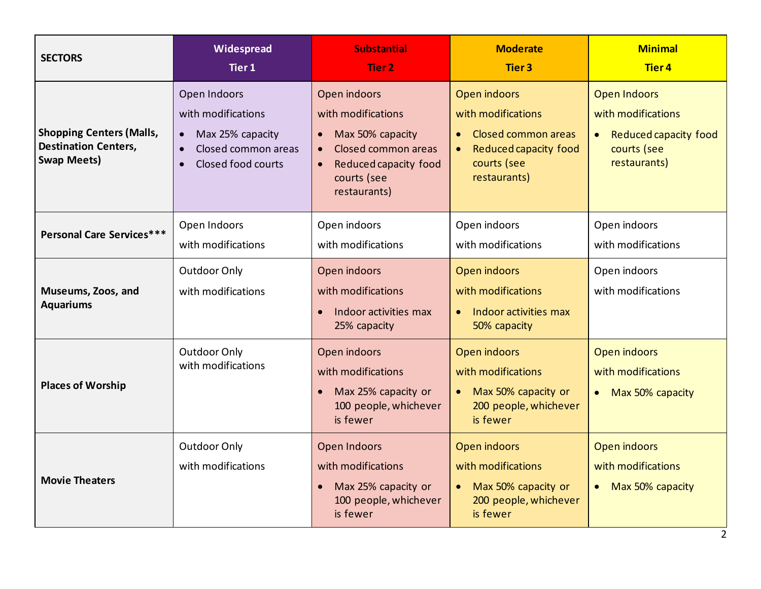| <b>SECTORS</b>                                                                       | Widespread<br>Tier 1                                                                                             | <b>Substantial</b><br>Tier 2                                                                                                                       | <b>Moderate</b><br><b>Tier 3</b>                                                                                               | <b>Minimal</b><br><b>Tier4</b>                                                                                 |
|--------------------------------------------------------------------------------------|------------------------------------------------------------------------------------------------------------------|----------------------------------------------------------------------------------------------------------------------------------------------------|--------------------------------------------------------------------------------------------------------------------------------|----------------------------------------------------------------------------------------------------------------|
| <b>Shopping Centers (Malls,</b><br><b>Destination Centers,</b><br><b>Swap Meets)</b> | Open Indoors<br>with modifications<br>Max 25% capacity<br>Closed common areas<br>Closed food courts<br>$\bullet$ | Open indoors<br>with modifications<br>Max 50% capacity<br>$\bullet$<br>Closed common areas<br>Reduced capacity food<br>courts (see<br>restaurants) | Open indoors<br>with modifications<br>Closed common areas<br>$\bullet$<br>Reduced capacity food<br>courts (see<br>restaurants) | <b>Open Indoors</b><br>with modifications<br>Reduced capacity food<br>$\bullet$<br>courts (see<br>restaurants) |
| Personal Care Services***                                                            | Open Indoors<br>with modifications                                                                               | Open indoors<br>with modifications                                                                                                                 | Open indoors<br>with modifications                                                                                             | Open indoors<br>with modifications                                                                             |
| Museums, Zoos, and<br><b>Aquariums</b>                                               | Outdoor Only<br>with modifications                                                                               | Open indoors<br>with modifications<br>Indoor activities max<br>25% capacity                                                                        | Open indoors<br>with modifications<br>Indoor activities max<br>$\bullet$<br>50% capacity                                       | Open indoors<br>with modifications                                                                             |
| <b>Places of Worship</b>                                                             | Outdoor Only<br>with modifications                                                                               | Open indoors<br>with modifications<br>Max 25% capacity or<br>100 people, whichever<br>is fewer                                                     | <b>Open indoors</b><br>with modifications<br>Max 50% capacity or<br>200 people, whichever<br>is fewer                          | <b>Open indoors</b><br>with modifications<br>Max 50% capacity<br>$\bullet$                                     |
| <b>Movie Theaters</b>                                                                | Outdoor Only<br>with modifications                                                                               | Open Indoors<br>with modifications<br>Max 25% capacity or<br>100 people, whichever<br>is fewer                                                     | Open indoors<br>with modifications<br>Max 50% capacity or<br>$\bullet$<br>200 people, whichever<br>is fewer                    | <b>Open indoors</b><br>with modifications<br>• Max 50% capacity                                                |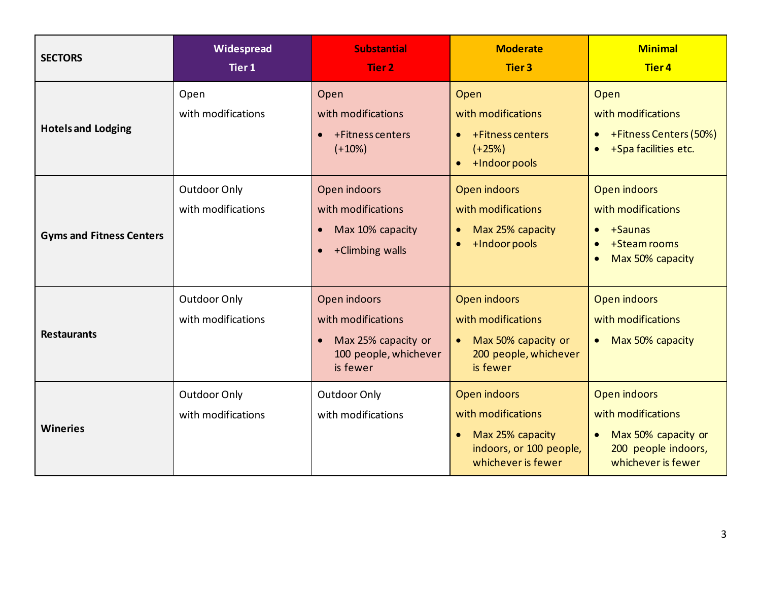| <b>SECTORS</b>                  | Widespread<br>Tier 1               | <b>Substantial</b><br><b>Tier 2</b>                                                            | <b>Moderate</b><br><b>Tier 3</b>                                                                                     | <b>Minimal</b><br><b>Tier 4</b>                                                                                                 |
|---------------------------------|------------------------------------|------------------------------------------------------------------------------------------------|----------------------------------------------------------------------------------------------------------------------|---------------------------------------------------------------------------------------------------------------------------------|
| <b>Hotels and Lodging</b>       | Open<br>with modifications         | Open<br>with modifications<br>+Fitness centers<br>$(+10%)$                                     | Open<br>with modifications<br>+Fitness centers<br>$(+25%)$<br>+Indoor pools                                          | Open<br>with modifications<br>+Fitness Centers (50%)<br>$\bullet$<br>+Spa facilities etc.<br>$\bullet$                          |
| <b>Gyms and Fitness Centers</b> | Outdoor Only<br>with modifications | Open indoors<br>with modifications<br>Max 10% capacity<br>+Climbing walls                      | Open indoors<br>with modifications<br>Max 25% capacity<br>+Indoor pools<br>$\bullet$                                 | <b>Open indoors</b><br>with modifications<br>+Saunas<br>$\bullet$<br>+Steam rooms<br>$\bullet$<br>Max 50% capacity<br>$\bullet$ |
| <b>Restaurants</b>              | Outdoor Only<br>with modifications | Open indoors<br>with modifications<br>Max 25% capacity or<br>100 people, whichever<br>is fewer | Open indoors<br>with modifications<br>Max 50% capacity or<br>200 people, whichever<br>is fewer                       | Open indoors<br>with modifications<br>Max 50% capacity<br>$\bullet$                                                             |
| <b>Wineries</b>                 | Outdoor Only<br>with modifications | Outdoor Only<br>with modifications                                                             | Open indoors<br>with modifications<br>Max 25% capacity<br>$\bullet$<br>indoors, or 100 people,<br>whichever is fewer | <b>Open indoors</b><br>with modifications<br>Max 50% capacity or<br>$\bullet$<br>200 people indoors,<br>whichever is fewer      |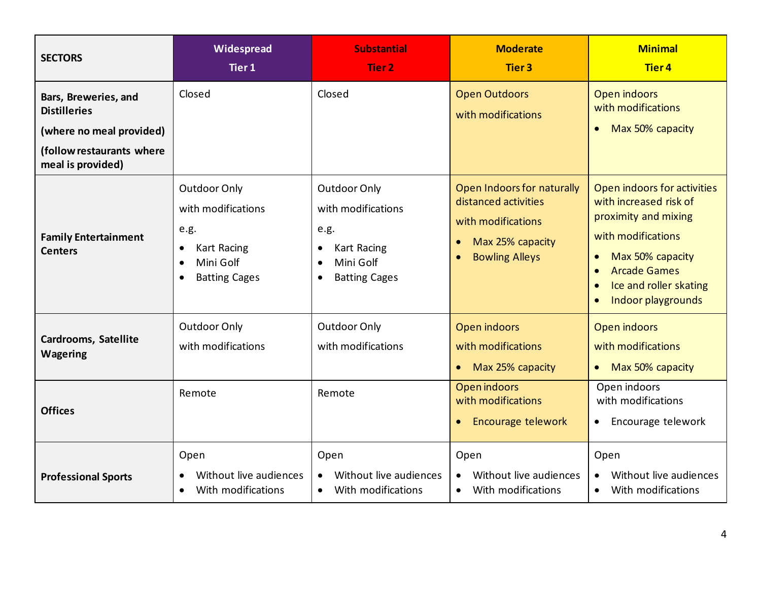| <b>SECTORS</b>                                                                                                            | Widespread<br>Tier 1                                                                                                                         | <b>Substantial</b><br>Tier 2                                                                                                           | <b>Moderate</b><br><b>Tier 3</b>                                                                                                                | <b>Minimal</b><br><b>Tier4</b>                                                                                                                                                                                                                     |
|---------------------------------------------------------------------------------------------------------------------------|----------------------------------------------------------------------------------------------------------------------------------------------|----------------------------------------------------------------------------------------------------------------------------------------|-------------------------------------------------------------------------------------------------------------------------------------------------|----------------------------------------------------------------------------------------------------------------------------------------------------------------------------------------------------------------------------------------------------|
| Bars, Breweries, and<br><b>Distilleries</b><br>(where no meal provided)<br>(follow restaurants where<br>meal is provided) | Closed                                                                                                                                       | Closed                                                                                                                                 | <b>Open Outdoors</b><br>with modifications                                                                                                      | Open indoors<br>with modifications<br>Max 50% capacity<br>$\bullet$                                                                                                                                                                                |
| <b>Family Entertainment</b><br><b>Centers</b>                                                                             | Outdoor Only<br>with modifications<br>e.g.<br><b>Kart Racing</b><br>$\bullet$<br>Mini Golf<br>$\bullet$<br><b>Batting Cages</b><br>$\bullet$ | <b>Outdoor Only</b><br>with modifications<br>e.g.<br><b>Kart Racing</b><br>Mini Golf<br>$\bullet$<br><b>Batting Cages</b><br>$\bullet$ | Open Indoors for naturally<br>distanced activities<br>with modifications<br>Max 25% capacity<br>$\bullet$<br><b>Bowling Alleys</b><br>$\bullet$ | Open indoors for activities<br>with increased risk of<br>proximity and mixing<br>with modifications<br>Max 50% capacity<br>$\bullet$<br><b>Arcade Games</b><br>$\bullet$<br>Ice and roller skating<br>$\bullet$<br>Indoor playgrounds<br>$\bullet$ |
| <b>Cardrooms, Satellite</b><br>Wagering                                                                                   | Outdoor Only<br>with modifications                                                                                                           | <b>Outdoor Only</b><br>with modifications                                                                                              | Open indoors<br>with modifications<br>Max 25% capacity<br>$\bullet$                                                                             | Open indoors<br>with modifications<br>Max 50% capacity<br>$\bullet$                                                                                                                                                                                |
| <b>Offices</b>                                                                                                            | Remote                                                                                                                                       | Remote                                                                                                                                 | Open indoors<br>with modifications<br>Encourage telework<br>$\bullet$                                                                           | Open indoors<br>with modifications<br>Encourage telework<br>$\bullet$                                                                                                                                                                              |
| <b>Professional Sports</b>                                                                                                | Open<br>Without live audiences<br>With modifications<br>$\bullet$                                                                            | Open<br>Without live audiences<br>With modifications<br>$\bullet$                                                                      | Open<br>Without live audiences<br>With modifications<br>$\bullet$                                                                               | Open<br>Without live audiences<br>With modifications<br>$\bullet$                                                                                                                                                                                  |